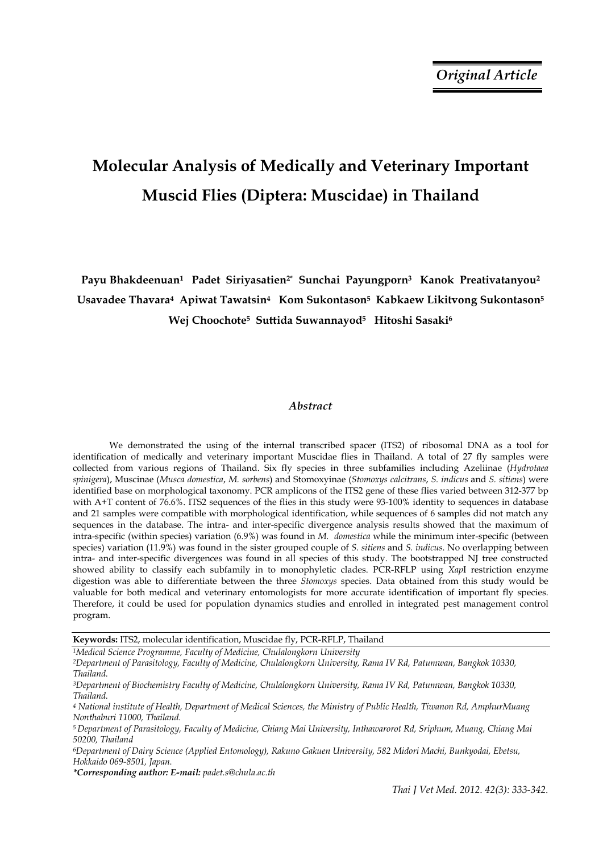# **Molecular Analysis of Medically and Veterinary Important Muscid Flies (Diptera: Muscidae) in Thailand**

Payu Bhakdeenuan<sup>1</sup> Padet Siriyasatien<sup>2\*</sup> Sunchai Payungporn<sup>3</sup> Kanok Preativatanyou<sup>2</sup> **Usavadee Thavara4 Apiwat Tawatsin4 Kom Sukontason5 Kabkaew Likitvong Sukontason5 Wej Choochote5 Suttida Suwannayod5 Hitoshi Sasaki6** 

## *Abstract*

We demonstrated the using of the internal transcribed spacer (ITS2) of ribosomal DNA as a tool for identification of medically and veterinary important Muscidae flies in Thailand. A total of 27 fly samples were collected from various regions of Thailand. Six fly species in three subfamilies including Azeliinae (*Hydrotaea spinigera*), Muscinae (*Musca domestica*, *M. sorbens*) and Stomoxyinae (*Stomoxys calcitrans*, *S. indicus* and *S. sitiens*) were identified base on morphological taxonomy. PCR amplicons of the ITS2 gene of these flies varied between 312-377 bp with A+T content of 76.6%. ITS2 sequences of the flies in this study were 93-100% identity to sequences in database and 21 samples were compatible with morphological identification, while sequences of 6 samples did not match any sequences in the database. The intra- and inter-specific divergence analysis results showed that the maximum of intra-specific (within species) variation (6.9%) was found in *M. domestica* while the minimum inter-specific (between species) variation (11.9%) was found in the sister grouped couple of *S. sitiens* and *S. indicus*. No overlapping between intra- and inter-specific divergences was found in all species of this study. The bootstrapped NJ tree constructed showed ability to classify each subfamily in to monophyletic clades. PCR-RFLP using *Xap*I restriction enzyme digestion was able to differentiate between the three *Stomoxys* species. Data obtained from this study would be valuable for both medical and veterinary entomologists for more accurate identification of important fly species. Therefore, it could be used for population dynamics studies and enrolled in integrated pest management control program.

**Keywords:** ITS2, molecular identification, Muscidae fly, PCR-RFLP, Thailand

*1Medical Science Programme, Faculty of Medicine, Chulalongkorn University 2Department of Parasitology, Faculty of Medicine, Chulalongkorn University, Rama IV Rd, Patumwan, Bangkok 10330, Thailand.* 

*3Department of Biochemistry Faculty of Medicine, Chulalongkorn University, Rama IV Rd, Patumwan, Bangkok 10330, Thailand.* 

*6Department of Dairy Science (Applied Entomology), Rakuno Gakuen University, 582 Midori Machi, Bunkyodai, Ebetsu, Hokkaido 069-8501, Japan.* 

*\*Corresponding author: E-mail: padet.s@chula.ac.th* 

*<sup>4</sup> National institute of Health, Department of Medical Sciences, the Ministry of Public Health, Tiwanon Rd, AmphurMuang Nonthaburi 11000, Thailand.* 

*<sup>5</sup> Department of Parasitology, Faculty of Medicine, Chiang Mai University, Inthawarorot Rd, Sriphum, Muang, Chiang Mai 50200, Thailand*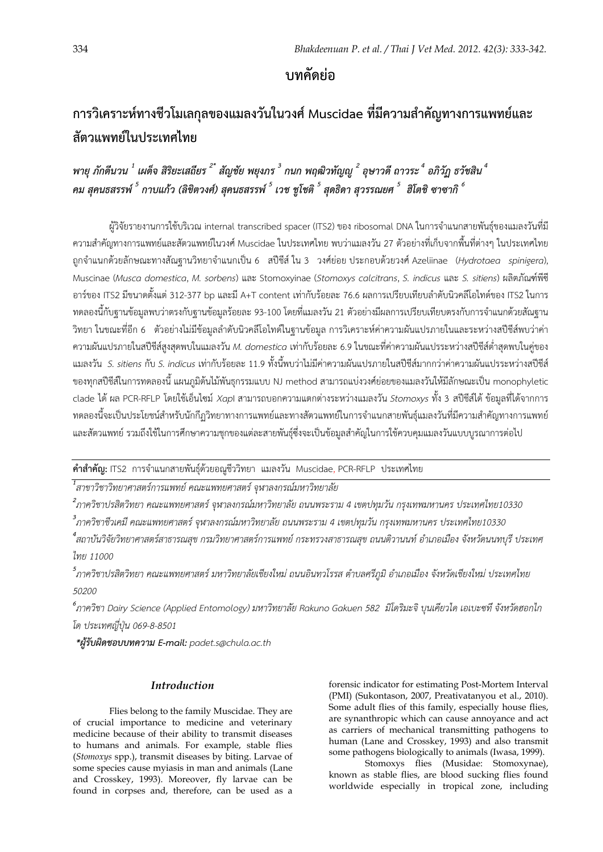**บทคัดย่อ**

# **การวิเคราะห์ทางชีวโมเลกุลของแมลงวันในวงศ Muscidae ์ ที่มีความสําคัญทางการแพทย์และ สัตวแพทย์ในประเทศไทย**

*พายุภักดีนวน <sup>1</sup> เผด็จ สิริยะเสถียร 2\* สัญชัย พยุงภร <sup>3</sup> กนก พฤฒิวทัญญู <sup>2</sup> อุษาวดีถาวระ<sup>4</sup> อภิวัฏ ธวัชสิน 4*  คม สุคนธสรรพ์ <sup>5</sup> กาบแก้ว (ลิขิตวงศ์) สุคนธสรรพ์ <sup>5</sup> เวช ชูโชติ <sup>5</sup> สุดธิดา สุวรรณยศ <sup>5</sup> ฮิโตชิ ซาซากิ <sup>6</sup>

ผู้วิจัยรายงานการใช้บริเวณ internal transcribed spacer (ITS2) ของ ribosomal DNA ในการจําแนกสายพันธุ์ของแมลงวันที่มี ความสําคัญทางการแพทย์และสัตวแพทย์ในวงศ์ Muscidae ในประเทศไทย พบว่าแมลงวัน 27 ตัวอย่างที่เก็บจากพื้นที่ต่างๆ ในประเทศไทย ถูกจําแนกด้วยลักษณะทางสัณฐานวิทยาจําแนกเป็น 6 สปีชีส์ใน 3 วงศ์ย่อย ประกอบด้วยวงศ์ Azeliinae (*Hydrotaea spinigera*), Muscinae (*Musca domestica*, *M. sorbens*) และ Stomoxyinae (*Stomoxys calcitrans*, *S. indicus* และ *S. sitiens*) ผลิตภัณฑ์พีซี อาร์ของ ITS2 มีขนาดตั้งแต่ 312-377 bp และมี A+T content เท่ากับร้อยละ 76.6 ผลการเปรียบเทียบลําดับนิวคลีโอไทด์ของ ITS2 ในการ ิทดลองนี้กับฐานข้อมูลพบว่าตรงกับฐานข้อมูลร้อยละ 93-100 โดยที่แมลงวัน 21 ตัวอย่างมีผลการเปรียบเทียบตรงกับการจำแนกด้วยสัณฐาน วิทยา ในขณะที่อีก 6 ตัวอย่างไม่มีข้อมูลลําดับนิวคลีโอไทด์ในฐานข้อมูล การวิเคราะห์ค่าความผันแปรภายในและระหว่างสปีชีส์พบว่าค่า ความผันแปรภายในสปีชีส์สูงสุดพบในแมลงวัน *M. domestica* เท่ากับร้อยละ 6.9 ในขณะที่ค่าความผันแปรระหว่างสปีชีส์ต่ําสุดพบในคู่ของ แมลงวัน *S. sitiens* กับ *S. indicus* เท่ากับร้อยละ 11.9 ทั้งนี้พบว่าไม่มีค่าความผันแปรภายในสปีชีส์มากกว่าค่าความผันแปรระหว่างสปีชีส์ ของทุกสปีชีส์ในการทดลองนี้แผนภูมิต้นไม้พันธุกรรมแบบ NJ method สามารถแบ่งวงศ์ย่อยของแมลงวันให้มีลักษณะเป็น monophyletic clade ได้ผล PCR-RFLP โดยใช้เอ็นไซม์ *Xap*I สามารถบอกความแตกต่างระหว่างแมลงวัน *Stomoxys* ทั้ง 3 สปีชีส์ได้ข้อมูลที่ได้จากการ ทดลองนี้จะเป็นประโยชน์สําหรับนักกีฏวิทยาทางการแพทย์และทางสัตวแพทย์ในการจําแนกสายพันธุ์แมลงวันที่มีความสําคัญทางการแพทย์ และสัตวแพทย์รวมถึงใช้ในการศึกษาความชุกของแต่ละสายพันธุ์ซึ่งจะเป็นข้อมูลสําคัญในการใช้ควบคุมแมลงวันแบบบูรณาการต่อไป

**คําสําคัญ:** ITS2 การจําแนกสายพนธั ุ์ด้วยอณูชีววิทยาแมลงวัน Muscidae, PCR-RFLPประเทศไทย

 $^{\rm 1}$ สาขาวิชาวิทยาศาสตร์การแพทย์ คณะแพทยศาสตร์ จุฬาลงกรณ์มหาวิทยาลัย

*2 ภาควิชาปรสตวิ ิทยา คณะแพทยศาสตร์จุฬาลงกรณมหาว ์ ิทยาลัย ถนนพระราม 4 เขตปทุมวัน กรุงเทพมหานคร ประเทศไทย10330*

*3 ภาควิชาชีวเคมีคณะแพทยศาสตร์จฬาลงกรณ ุ ์มหาวิทยาลัย ถนนพระราม 4 เขตปทุมวัน กรุงเทพมหานคร ประเทศไทย10330*

<sup>4</sup>สถาบันวิจัยวิทยาศาสตร์สาธารณสุข กรมวิทยาศาสตร์การแพทย์ กระทรวงสาธารณสุข ถนนติวานนท์ อำเภอเมือง จังหวัดนนทบุรี ประเทศ *ไทย 11000* 

*5 ภาควิชาปรสตวิ ิทยา คณะแพทยศาสตร์มหาวิทยาลัยเชียงใหม่ถนนอินทวโรรส ตาบลศร ํ ภีูมิอําเภอเมือง จงหว ั ดเช ั ียงใหม่ ประเทศไทย 50200* 

*6 ภาควิชา Dairy Science (Applied Entomology) มหาวิทยาลัย Rakuno Gakuen 582 มิโดริมะจิบุนเคียวได เอเบะซทึจังหวัดฮอกไก โด ประเทศญี่ปุ่น 069-8-8501*

 *\*ผู้รับผิดชอบบทความ E-mail: padet.s@chula.ac.th* 

# *Introduction*

Flies belong to the family Muscidae. They are of crucial importance to medicine and veterinary medicine because of their ability to transmit diseases to humans and animals. For example, stable flies (*Stomoxys* spp.), transmit diseases by biting. Larvae of some species cause myiasis in man and animals (Lane and Crosskey, 1993). Moreover, fly larvae can be found in corpses and, therefore, can be used as a

forensic indicator for estimating Post-Mortem Interval (PMI) (Sukontason, 2007, Preativatanyou et al., 2010). Some adult flies of this family, especially house flies, are synanthropic which can cause annoyance and act as carriers of mechanical transmitting pathogens to human (Lane and Crosskey, 1993) and also transmit some pathogens biologically to animals (Iwasa, 1999).

 Stomoxys flies (Musidae: Stomoxynae), known as stable flies, are blood sucking flies found worldwide especially in tropical zone, including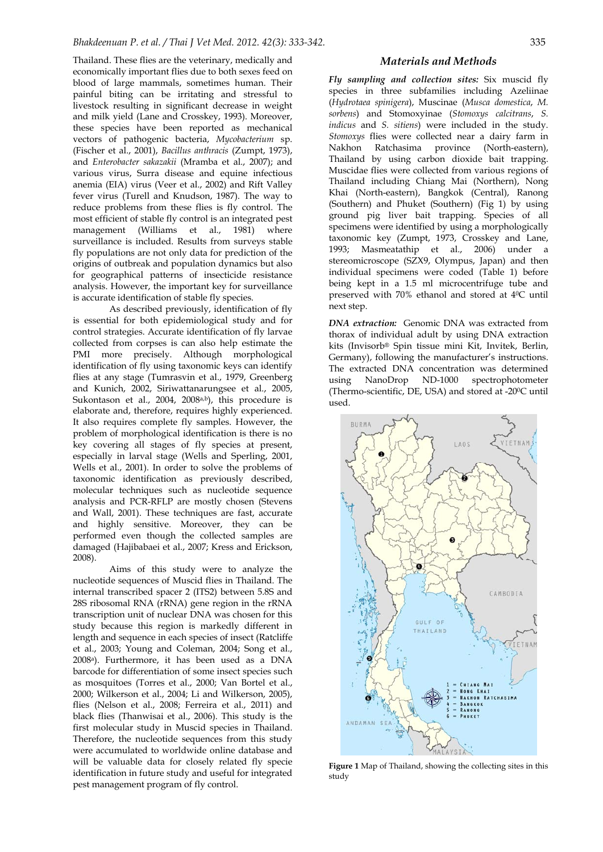Thailand. These flies are the veterinary, medically and economically important flies due to both sexes feed on blood of large mammals, sometimes human. Their painful biting can be irritating and stressful to livestock resulting in significant decrease in weight and milk yield (Lane and Crosskey, 1993). Moreover, these species have been reported as mechanical vectors of pathogenic bacteria, *Mycobacterium* sp. (Fischer et al., 2001), *Bacillus anthracis* (Zumpt, 1973), and *Enterobacter sakazakii* (Mramba et al., 2007); and various virus, Surra disease and equine infectious anemia (EIA) virus (Veer et al., 2002) and Rift Valley fever virus (Turell and Knudson, 1987). The way to reduce problems from these flies is fly control. The most efficient of stable fly control is an integrated pest management (Williams et al., 1981) where surveillance is included. Results from surveys stable fly populations are not only data for prediction of the origins of outbreak and population dynamics but also for geographical patterns of insecticide resistance analysis. However, the important key for surveillance is accurate identification of stable fly species.

 As described previously, identification of fly is essential for both epidemiological study and for control strategies. Accurate identification of fly larvae collected from corpses is can also help estimate the PMI more precisely. Although morphological identification of fly using taxonomic keys can identify flies at any stage (Tumrasvin et al., 1979, Greenberg and Kunich, 2002, Siriwattanarungsee et al., 2005, Sukontason et al.,  $2004$ ,  $2008a,b$ ), this procedure is elaborate and, therefore, requires highly experienced. It also requires complete fly samples. However, the problem of morphological identification is there is no key covering all stages of fly species at present, especially in larval stage (Wells and Sperling, 2001, Wells et al., 2001). In order to solve the problems of taxonomic identification as previously described, molecular techniques such as nucleotide sequence analysis and PCR-RFLP are mostly chosen (Stevens and Wall, 2001). These techniques are fast, accurate and highly sensitive. Moreover, they can be performed even though the collected samples are damaged (Hajibabaei et al., 2007; Kress and Erickson, 2008).

 Aims of this study were to analyze the nucleotide sequences of Muscid flies in Thailand. The internal transcribed spacer 2 (ITS2) between 5.8S and 28S ribosomal RNA (rRNA) gene region in the rRNA transcription unit of nuclear DNA was chosen for this study because this region is markedly different in length and sequence in each species of insect (Ratcliffe et al., 2003; Young and Coleman, 2004; Song et al., 2008a). Furthermore, it has been used as a DNA barcode for differentiation of some insect species such as mosquitoes (Torres et al., 2000; Van Bortel et al., 2000; Wilkerson et al., 2004; Li and Wilkerson, 2005), flies (Nelson et al., 2008; Ferreira et al., 2011) and black flies (Thanwisai et al., 2006). This study is the first molecular study in Muscid species in Thailand. Therefore, the nucleotide sequences from this study were accumulated to worldwide online database and will be valuable data for closely related fly specie identification in future study and useful for integrated pest management program of fly control.

*Fly sampling and collection sites:* Six muscid fly species in three subfamilies including Azeliinae (*Hydrotaea spinigera*), Muscinae (*Musca domestica*, *M. sorbens*) and Stomoxyinae (*Stomoxys calcitrans*, *S. indicus* and *S. sitiens*) were included in the study. *Stomoxys* flies were collected near a dairy farm in Nakhon Ratchasima province (North-eastern), Thailand by using carbon dioxide bait trapping. Muscidae flies were collected from various regions of Thailand including Chiang Mai (Northern), Nong Khai (North-eastern), Bangkok (Central), Ranong (Southern) and Phuket (Southern) (Fig 1) by using ground pig liver bait trapping. Species of all specimens were identified by using a morphologically taxonomic key (Zumpt, 1973, Crosskey and Lane, 1993; Masmeatathip et al., 2006) under a stereomicroscope (SZX9, Olympus, Japan) and then individual specimens were coded (Table 1) before being kept in a 1.5 ml microcentrifuge tube and preserved with 70% ethanol and stored at 40C until next step.

*DNA extraction:* Genomic DNA was extracted from thorax of individual adult by using DNA extraction kits (Invisorb® Spin tissue mini Kit, Invitek, Berlin, Germany), following the manufacturer's instructions. The extracted DNA concentration was determined using NanoDrop ND-1000 spectrophotometer (Thermo-scientific, DE, USA) and stored at -200C until used.



**Figure 1** Map of Thailand, showing the collecting sites in this study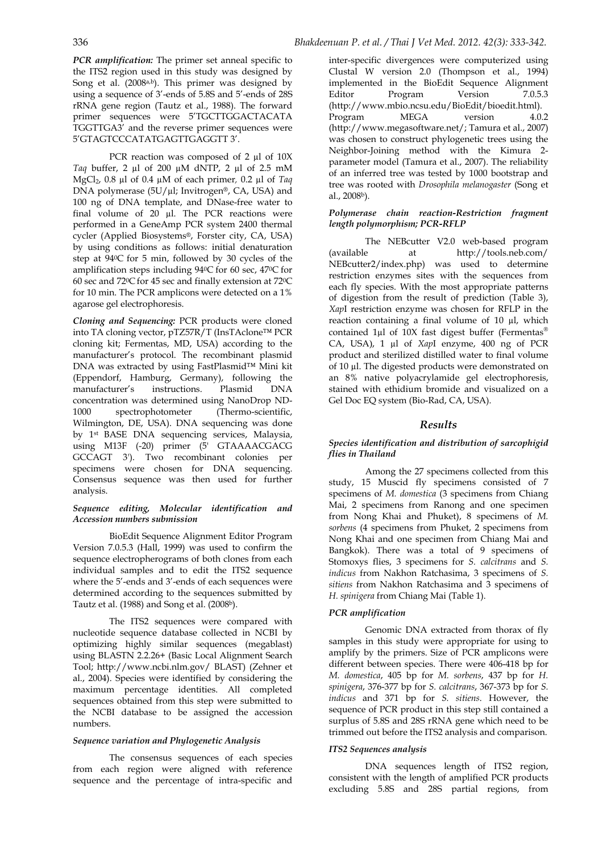PCR reaction was composed of 2 µl of 10X *Taq* buffer, 2 µl of 200 µM dNTP, 2 µl of 2.5 mM MgCl2, 0.8 µl of 0.4 µM of each primer*,* 0.2 µl of *Taq* DNA polymerase  $(5U/\mu l; Invitrogen$ <sup>®</sup>, CA, USA) and 100 ng of DNA template, and DNase-free water to final volume of 20 µl. The PCR reactions were performed in a GeneAmp PCR system 2400 thermal cycler (Applied Biosystems®, Forster city, CA, USA) by using conditions as follows: initial denaturation step at 940C for 5 min, followed by 30 cycles of the amplification steps including 940C for 60 sec, 470C for 60 sec and 720C for 45 sec and finally extension at 720C for 10 min. The PCR amplicons were detected on a 1% agarose gel electrophoresis.

*Cloning and Sequencing:* PCR products were cloned into TA cloning vector, pTZ57R/T (InsTAclone™ PCR cloning kit; Fermentas, MD, USA) according to the manufacturer's protocol. The recombinant plasmid DNA was extracted by using FastPlasmid™ Mini kit (Eppendorf, Hamburg, Germany), following the manufacturer's instructions. Plasmid DNA concentration was determined using NanoDrop ND-1000 spectrophotometer (Thermo-scientific, Wilmington, DE, USA). DNA sequencing was done by 1st BASE DNA sequencing services, Malaysia, using M13F (-20) primer (5' GTAAAACGACG GCCAGT 3'). Two recombinant colonies per specimens were chosen for DNA sequencing. Consensus sequence was then used for further analysis.

#### *Sequence editing, Molecular identification and Accession numbers submission*

 BioEdit Sequence Alignment Editor Program Version 7.0.5.3 (Hall, 1999) was used to confirm the sequence electropherograms of both clones from each individual samples and to edit the ITS2 sequence where the 5'-ends and 3'-ends of each sequences were determined according to the sequences submitted by Tautz et al. (1988) and Song et al. (2008b).

 The ITS2 sequences were compared with nucleotide sequence database collected in NCBI by optimizing highly similar sequences (megablast) using BLASTN 2.2.26+ (Basic Local Alignment Search Tool; http://www.ncbi.nlm.gov/ BLAST) (Zehner et al., 2004). Species were identified by considering the maximum percentage identities. All completed sequences obtained from this step were submitted to the NCBI database to be assigned the accession numbers.

# *Sequence variation and Phylogenetic Analysis*

 The consensus sequences of each species from each region were aligned with reference sequence and the percentage of intra-specific and inter-specific divergences were computerized using Clustal W version 2.0 (Thompson et al., 1994) implemented in the BioEdit Sequence Alignment Editor Program Version 7.0.5.3 (http://www.mbio.ncsu.edu/BioEdit/bioedit.html). Program MEGA version 4.0.2 (http://www.megasoftware.net/; Tamura et al., 2007) was chosen to construct phylogenetic trees using the Neighbor-Joining method with the Kimura 2 parameter model (Tamura et al., 2007). The reliability of an inferred tree was tested by 1000 bootstrap and tree was rooted with *Drosophila melanogaster* (Song et al., 2008b).

#### *Polymerase chain reaction-Restriction fragment length polymorphism; PCR-RFLP*

 The NEBcutter V2.0 web-based program (available at http://tools.neb.com/ NEBcutter2/index.php) was used to determine restriction enzymes sites with the sequences from each fly species. With the most appropriate patterns of digestion from the result of prediction (Table 3), *Xap*I restriction enzyme was chosen for RFLP in the reaction containing a final volume of 10 µl, which contained 1µl of 10X fast digest buffer (Fermentas® CA, USA), 1 µl of *Xap*I enzyme, 400 ng of PCR product and sterilized distilled water to final volume of 10 µl. The digested products were demonstrated on an 8% native polyacrylamide gel electrophoresis, stained with ethidium bromide and visualized on a Gel Doc EQ system (Bio-Rad, CA, USA).

# *Results*

#### *Species identification and distribution of sarcophigid flies in Thailand*

 Among the 27 specimens collected from this study, 15 Muscid fly specimens consisted of 7 specimens of *M. domestica* (3 specimens from Chiang Mai, 2 specimens from Ranong and one specimen from Nong Khai and Phuket), 8 specimens of *M. sorbens* (4 specimens from Phuket, 2 specimens from Nong Khai and one specimen from Chiang Mai and Bangkok). There was a total of 9 specimens of Stomoxys flies, 3 specimens for *S. calcitrans* and *S. indicus* from Nakhon Ratchasima, 3 specimens of *S. sitiens* from Nakhon Ratchasima and 3 specimens of *H. spinigera* from Chiang Mai (Table 1).

# *PCR amplification*

 Genomic DNA extracted from thorax of fly samples in this study were appropriate for using to amplify by the primers. Size of PCR amplicons were different between species. There were 406-418 bp for *M. domestica*, 405 bp for *M. sorbens*, 437 bp for *H. spinigera*, 376-377 bp for *S. calcitrans*, 367-373 bp for *S. indicus* and 371 bp for *S. sitiens*. However, the sequence of PCR product in this step still contained a surplus of 5.8S and 28S rRNA gene which need to be trimmed out before the ITS2 analysis and comparison.

# *ITS2 Sequences analysis*

 DNA sequences length of ITS2 region, consistent with the length of amplified PCR products excluding 5.8S and 28S partial regions, from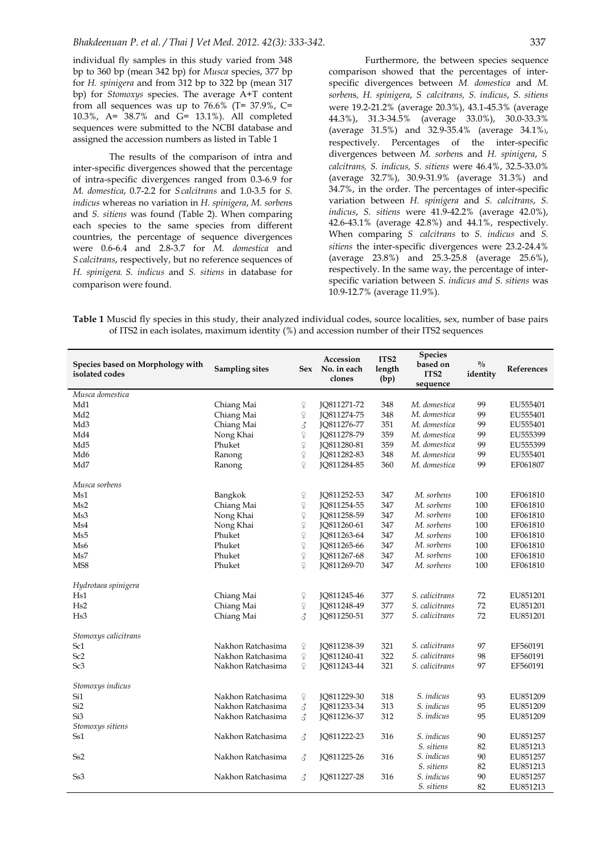individual fly samples in this study varied from 348 bp to 360 bp (mean 342 bp) for *Musca* species, 377 bp for *H. spinigera* and from 312 bp to 322 bp (mean 317 bp) for *Stomoxys* species. The average A+T content from all sequences was up to  $76.6\%$  (T= 37.9%, C= 10.3%, A= 38.7% and G= 13.1%). All completed sequences were submitted to the NCBI database and assigned the accession numbers as listed in Table 1

 The results of the comparison of intra and inter-specific divergences showed that the percentage of intra-specific divergences ranged from 0.3-6.9 for *M. domestica*, 0.7-2.2 for *S.calcitrans* and 1.0-3.5 for *S. indicus* whereas no variation in *H. spinigera*, *M. sorben*s and *S. sitiens* was found (Table 2). When comparing each species to the same species from different countries, the percentage of sequence divergences were 0.6-6.4 and 2.8-3.7 for *M. domestica* and *S.calcitrans*, respectively, but no reference sequences of *H. spinigera*, *S. indicus* and *S. sitiens* in database for comparison were found.

 Furthermore, the between species sequence comparison showed that the percentages of interspecific divergences between *M. domestica* and *M. sorben*s*, H. spinigera*, *S. calcitrans, S. indicus*, *S. sitiens*  were 19.2-21.2% (average 20.3%), 43.1-45.3% (average 44.3%), 31.3-34.5% (average 33.0%), 30.0-33.3% (average 31.5%) and 32.9-35.4% (average 34.1%), respectively. Percentages of the inter-specific divergences between *M. sorben*s and *H. spinigera*, *S. calcitrans, S. indicus, S. sitiens* were 46.4%, 32.5-33.0% (average 32.7%), 30.9-31.9% (average 31.3%) and 34.7%, in the order. The percentages of inter-specific variation between *H. spinigera* and *S. calcitrans*, *S. indicus*, *S. sitiens* were 41.9-42.2% (average 42.0%), 42.6-43.1% (average 42.8%) and 44.1%, respectively. When comparing *S. calcitrans* to *S. indicus* and *S. sitiens* the inter-specific divergences were 23.2-24.4% (average 23.8%) and 25.3-25.8 (average 25.6%), respectively. In the same way, the percentage of interspecific variation between *S. indicus and S. sitiens* was 10.9-12.7% (average 11.9%).

**Table 1** Muscid fly species in this study, their analyzed individual codes, source localities, sex, number of base pairs of ITS2 in each isolates, maximum identity (%) and accession number of their ITS2 sequences

| Species based on Morphology with<br>isolated codes | <b>Sampling sites</b> |                               | Accession<br>Sex No. in each<br>clones | ITS <sub>2</sub><br>length<br>(bp) | <b>Species</b><br>based on<br>ITS <sub>2</sub><br>sequence | $^{0}/_{0}$<br>identity | References |
|----------------------------------------------------|-----------------------|-------------------------------|----------------------------------------|------------------------------------|------------------------------------------------------------|-------------------------|------------|
| Musca domestica                                    |                       |                               |                                        |                                    |                                                            |                         |            |
| Md1                                                | Chiang Mai            | $\hbox{$\mathfrak{D}$}$       | JQ811271-72                            | 348                                | M. domestica                                               | 99                      | EU555401   |
| Md <sub>2</sub>                                    | Chiang Mai            | $\hbox{$\widehat{\neg}$}$     | JQ811274-75                            | 348                                | M. domestica                                               | 99                      | EU555401   |
| Md <sub>3</sub>                                    | Chiang Mai            | 3                             | JQ811276-77                            | 351                                | M. domestica                                               | 99                      | EU555401   |
| Md4                                                | Nong Khai             | $\varphi$                     | IO811278-79                            | 359                                | M. domestica                                               | 99                      | EU555399   |
| Md5                                                | Phuket                | $\varphi$                     | JQ811280-81                            | 359                                | M. domestica                                               | 99                      | EU555399   |
| Md <sub>6</sub>                                    | Ranong                | $\varphi$                     | JQ811282-83                            | 348                                | M. domestica                                               | 99                      | EU555401   |
| Md7                                                | Ranong                | $\overline{Q}$                | JQ811284-85                            | 360                                | M. domestica                                               | 99                      | EF061807   |
| Musca sorbens                                      |                       |                               |                                        |                                    |                                                            |                         |            |
| Ms1                                                | Bangkok               | $\hbox{$\hat{\neg}$}$         | JQ811252-53                            | 347                                | M. sorbens                                                 | 100                     | EF061810   |
| Ms2                                                | Chiang Mai            | $\varphi$                     | JQ811254-55                            | 347                                | M. sorbens                                                 | 100                     | EF061810   |
| Ms3                                                | Nong Khai             | $\varphi$                     | JQ811258-59                            | 347                                | M. sorbens                                                 | 100                     | EF061810   |
| Ms4                                                | Nong Khai             | 99999                         | JQ811260-61                            | 347                                | M. sorbens                                                 | 100                     | EF061810   |
| Ms5                                                | Phuket                |                               | JQ811263-64                            | 347                                | M. sorbens                                                 | 100                     | EF061810   |
| Ms6                                                | Phuket                |                               | JQ811265-66                            | 347                                | M. sorbens                                                 | 100                     | EF061810   |
| Ms7                                                | Phuket                |                               | JQ811267-68                            | 347                                | M. sorbens                                                 | 100                     | EF061810   |
| MS8                                                | Phuket                | $\mathfrak{Q}$                | JQ811269-70                            | 347                                | M. sorbens                                                 | 100                     | EF061810   |
| Hydrotaea spinigera                                |                       |                               |                                        |                                    |                                                            |                         |            |
| Hs1                                                | Chiang Mai            | $\operatorname{\mathbb{C}}$   | JQ811245-46                            | 377                                | S. calicitrans                                             | 72                      | EU851201   |
| Hs2                                                | Chiang Mai            | $\overline{P}$                | JQ811248-49                            | 377                                | S. calicitrans                                             | 72                      | EU851201   |
| Hs3                                                | Chiang Mai            | ₫                             | JQ811250-51                            | 377                                | S. calicitrans                                             | 72                      | EU851201   |
| Stomoxys calicitrans                               |                       |                               |                                        |                                    |                                                            |                         |            |
| Sc1                                                | Nakhon Ratchasima     | ¥                             | JQ811238-39                            | 321                                | S. calicitrans                                             | 97                      | EF560191   |
| Sc2                                                | Nakhon Ratchasima     | $\hbox{$\mathfrak{D}$}$       | JQ811240-41                            | 322                                | S. calicitrans                                             | 98                      | EF560191   |
| Sc <sub>3</sub>                                    | Nakhon Ratchasima     | $\Omega$                      | JQ811243-44                            | 321                                | S. calicitrans                                             | 97                      | EF560191   |
| Stomoxys indicus                                   |                       |                               |                                        |                                    |                                                            |                         |            |
| Si1                                                | Nakhon Ratchasima     | $\mathop{\mathbb C}\nolimits$ | JQ811229-30                            | 318                                | S. indicus                                                 | 93                      | EU851209   |
| Si <sub>2</sub>                                    | Nakhon Ratchasima     | ₫                             | JQ811233-34                            | 313                                | S. indicus                                                 | 95                      | EU851209   |
| Si <sub>3</sub>                                    | Nakhon Ratchasima     | ₫                             | JQ811236-37                            | 312                                | S. indicus                                                 | 95                      | EU851209   |
| Stomoxys sitiens                                   |                       |                               |                                        |                                    |                                                            |                         |            |
| Ss1                                                | Nakhon Ratchasima     | 3                             | JQ811222-23                            | 316                                | S. indicus                                                 | 90                      | EU851257   |
|                                                    |                       |                               |                                        |                                    | S. sitiens                                                 | 82                      | EU851213   |
| S <sub>s2</sub>                                    | Nakhon Ratchasima     | ₫                             | JQ811225-26                            | 316                                | S. indicus                                                 | 90                      | EU851257   |
|                                                    |                       |                               |                                        |                                    | S. sitiens                                                 | 82                      | EU851213   |
| Ss <sub>3</sub>                                    | Nakhon Ratchasima     | ₫                             | JQ811227-28                            | 316                                | S. indicus                                                 | 90                      | EU851257   |
|                                                    |                       |                               |                                        |                                    | S. sitiens                                                 | 82                      | EU851213   |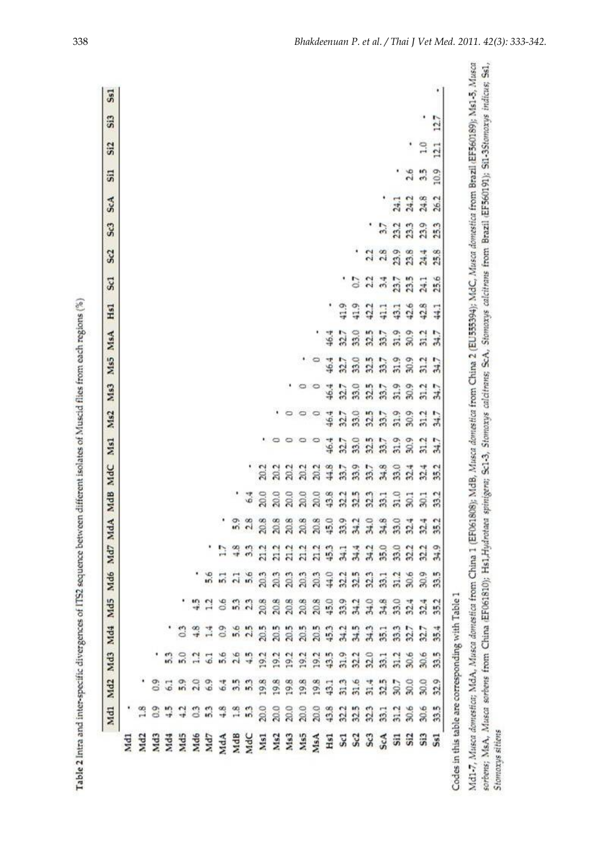| $\frac{1}{2}$ |
|---------------|
|               |
|               |
|               |
|               |
|               |
|               |
|               |
|               |
|               |
|               |
|               |
|               |
|               |
|               |
|               |
|               |
|               |
|               |
|               |

|     |             |                                       |                                           |                         |     |      |                |                                                 | Md1 Md2 Md3 Md4 Md5 Md6 Md7 MdA MdB MdC Ms1 |             |      | Ms2       |      | Ms3 Ms5 MsA |      | Hs1           | Sc <sub>1</sub> | 5c2             | Sc3  | <b>ScA</b>       | Si1  | Si <sub>2</sub> | Si3 |  |
|-----|-------------|---------------------------------------|-------------------------------------------|-------------------------|-----|------|----------------|-------------------------------------------------|---------------------------------------------|-------------|------|-----------|------|-------------|------|---------------|-----------------|-----------------|------|------------------|------|-----------------|-----|--|
| Md1 |             |                                       |                                           |                         |     |      |                |                                                 |                                             |             |      |           |      |             |      |               |                 |                 |      |                  |      |                 |     |  |
|     |             |                                       |                                           |                         |     |      |                |                                                 |                                             |             |      |           |      |             |      |               |                 |                 |      |                  |      |                 |     |  |
|     |             |                                       |                                           |                         |     |      |                |                                                 |                                             |             |      |           |      |             |      |               |                 |                 |      |                  |      |                 |     |  |
|     | $rac{3}{4}$ | 3                                     |                                           |                         |     |      |                |                                                 |                                             |             |      |           |      |             |      |               |                 |                 |      |                  |      |                 |     |  |
|     |             |                                       |                                           |                         |     |      |                |                                                 |                                             |             |      |           |      |             |      |               |                 |                 |      |                  |      |                 |     |  |
|     |             |                                       |                                           |                         |     |      |                |                                                 |                                             |             |      |           |      |             |      |               |                 |                 |      |                  |      |                 |     |  |
|     | 3.3         | $\frac{6}{9}$                         |                                           | $rac{3}{4}$ $rac{4}{1}$ |     |      |                |                                                 |                                             |             |      |           |      |             |      |               |                 |                 |      |                  |      |                 |     |  |
|     |             |                                       |                                           | $\overline{0.9}$        | 0.6 |      |                |                                                 |                                             |             |      |           |      |             |      |               |                 |                 |      |                  |      |                 |     |  |
|     |             |                                       |                                           |                         |     |      |                |                                                 |                                             |             |      |           |      |             |      |               |                 |                 |      |                  |      |                 |     |  |
|     |             |                                       |                                           |                         |     |      |                |                                                 | $\frac{6}{9}$                               |             |      |           |      |             |      |               |                 |                 |      |                  |      |                 |     |  |
|     |             |                                       |                                           |                         |     |      |                |                                                 |                                             | 20.2        |      |           |      |             |      |               |                 |                 |      |                  |      |                 |     |  |
|     |             |                                       |                                           |                         |     |      |                |                                                 | 20.0                                        | $\tilde{a}$ |      |           |      |             |      |               |                 |                 |      |                  |      |                 |     |  |
|     |             |                                       |                                           |                         |     |      |                |                                                 | 20.0                                        | 202         |      |           |      |             |      |               |                 |                 |      |                  |      |                 |     |  |
|     |             |                                       |                                           |                         |     |      |                |                                                 |                                             | 20.2        |      |           |      |             |      |               |                 |                 |      |                  |      |                 |     |  |
|     |             |                                       |                                           |                         |     |      |                |                                                 | $20.0$<br>$20.0$                            | 20.2        |      |           |      |             |      |               |                 |                 |      |                  |      |                 |     |  |
|     |             |                                       |                                           |                         |     |      |                |                                                 |                                             | 44.8        | 46.4 | 46.4      | 46.4 | 46.4        | 16.4 |               |                 |                 |      |                  |      |                 |     |  |
|     |             |                                       |                                           |                         |     |      |                |                                                 | 32.2                                        | 33.7        | 327  |           | 327  | 32.7        | 327  | .<br>.<br>.   |                 |                 |      |                  |      |                 |     |  |
|     |             |                                       |                                           |                         |     |      |                |                                                 | 32.5                                        | 33.9        | 33.0 |           | 33.0 | 33.0        | 33.0 |               | $\frac{2}{2}$   |                 |      |                  |      |                 |     |  |
|     |             |                                       |                                           |                         |     |      |                |                                                 |                                             | 33.7        | 32.5 |           | 32.5 | 32.5        | 32.5 | $\frac{3}{4}$ |                 | $\frac{2}{2}$   |      |                  |      |                 |     |  |
|     |             | 3 5 6 7 8 9 9 9 9 9 9 9 9 9 9 9 9 9 9 | ន ន ជ ជ ន ង ង ១ ដ ដ ដ ដ ដ ង ង ង ង ង ង ដ ដ | ***************         |     |      | 33333333333333 | <b>តិ ង នី នី នី នី ម្នី ដូ ង អូ ង នី ង ម្ព</b> | $33.1$<br>$31.0$                            | 34.8        | 33.7 | 22.588822 | 33.7 | 33.7        | 33.7 |               | 33337           | 28              | 3233 |                  |      |                 |     |  |
|     |             |                                       |                                           |                         |     |      |                |                                                 |                                             | 33.0        | 31.9 |           | 31.9 | 31.9        | 31.9 | $\frac{1}{3}$ |                 | 23.9            |      |                  |      |                 |     |  |
|     |             |                                       |                                           |                         |     |      |                |                                                 | 30.1                                        | 32.4        | 30.9 |           | 30.9 | 30.9        | 30.9 | 42.6          |                 | 23.8            |      | $24.1$<br>$24.2$ | 2.6  |                 |     |  |
|     | 30.6        | 30.0                                  | 30.6                                      |                         |     | 30.9 |                |                                                 | ä                                           | 32.4        | 31.2 | 31.7      | 31.2 | 31.2        | 31.2 |               |                 | 24.4            | 23.9 | 24.8             | 3    | 2d              |     |  |
|     | 33.5        | 32.9                                  | 33.5                                      | 35.4                    |     | 33.5 | 34.9           | 35.2                                            | 33.2                                        | 35.2        | 34.7 |           | 34.7 | 34.7        | 34.7 | 44.1          | 25.6            | œ<br>$\ddot{2}$ | 25.3 | 26.2             | 10.9 | 12.1            | 127 |  |

ś Codes i

Md1-7, Musca domestica; MdA, Musca domestica trom China 1 (EF061808); MdB, Musca domestica (EU55394); MdC, Musca domestica trom Brazil (EF560189); Ms1-5, Musca sorbens; MsA, Musca sorbens from China (EF061810); Hs1,Hydrotaea spinigens; Sc1-3, Stomoxys calciterings calcitrans from Brazil (EF560191); Si1-3Stomoxys indicus; Ss1, **Stomaxys sitiens**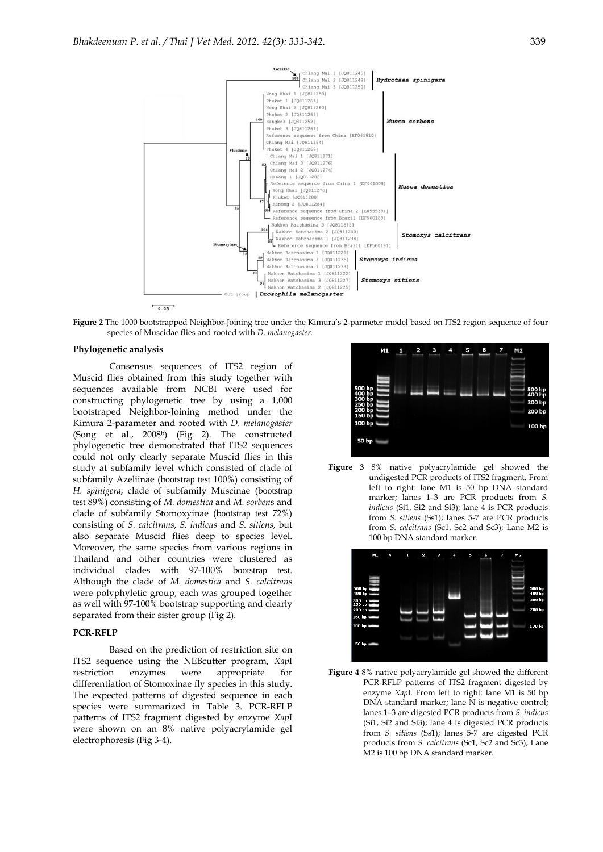

**Figure 2** The 1000 bootstrapped Neighbor-Joining tree under the Kimura's 2-parmeter model based on ITS2 region sequence of four species of Muscidae flies and rooted with *D. melanogaster*.

#### **Phylogenetic analysis**

 Consensus sequences of ITS2 region of Muscid flies obtained from this study together with sequences available from NCBI were used for constructing phylogenetic tree by using a 1,000 bootstraped Neighbor-Joining method under the Kimura 2-parameter and rooted with *D. melanogaster*  (Song et al., 2008b) (Fig 2). The constructed phylogenetic tree demonstrated that ITS2 sequences could not only clearly separate Muscid flies in this study at subfamily level which consisted of clade of subfamily Azeliinae (bootstrap test 100%) consisting of *H. spinigera*, clade of subfamily Muscinae (bootstrap test 89%) consisting of *M. domestica* and *M. sorben*s and clade of subfamily Stomoxyinae (bootstrap test 72%) consisting of *S. calcitrans*, *S. indicus* and *S. sitiens*, but also separate Muscid flies deep to species level. Moreover, the same species from various regions in Thailand and other countries were clustered as individual clades with 97-100% bootstrap test. Although the clade of *M. domestica* and *S. calcitrans* were polyphyletic group, each was grouped together as well with 97-100% bootstrap supporting and clearly separated from their sister group (Fig 2).

#### **PCR-RFLP**

 Based on the prediction of restriction site on ITS2 sequence using the NEBcutter program, *Xap*I restriction enzymes were appropriate for differentiation of Stomoxinae fly species in this study. The expected patterns of digested sequence in each species were summarized in Table 3. PCR-RFLP patterns of ITS2 fragment digested by enzyme *Xap*I were shown on an 8% native polyacrylamide gel electrophoresis (Fig 3-4).



**Figure 3** 8% native polyacrylamide gel showed the undigested PCR products of ITS2 fragment. From left to right: lane M1 is 50 bp DNA standard marker; lanes 1-3 are PCR products from *S*. *indicus* (Si1, Si2 and Si3); lane 4 is PCR products from *S. sitiens* (Ss1); lanes 5-7 are PCR products from *S. calcitrans* (Sc1, Sc2 and Sc3); Lane M2 is 100 bp DNA standard marker.



**Figure 4** 8% native polyacrylamide gel showed the different PCR-RFLP patterns of ITS2 fragment digested by enzyme *Xap*I. From left to right: lane M1 is 50 bp DNA standard marker; lane N is negative control; lanes 1–3 are digested PCR products from *S. indicus* (Si1, Si2 and Si3); lane 4 is digested PCR products from *S. sitiens* (Ss1); lanes 5-7 are digested PCR products from *S. calcitrans* (Sc1, Sc2 and Sc3); Lane M2 is 100 bp DNA standard marker.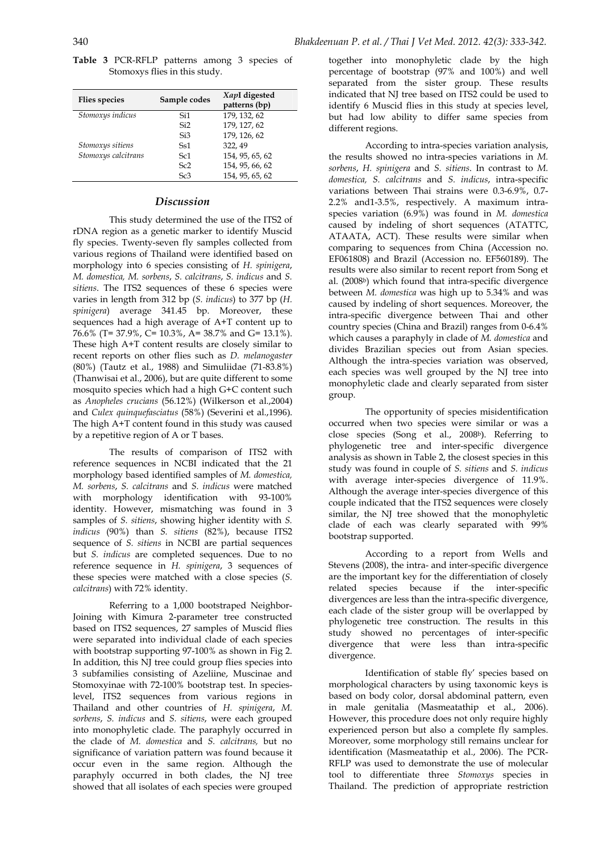|  | <b>Table 3</b> PCR-RFLP patterns among 3 species of |  |  |  |
|--|-----------------------------------------------------|--|--|--|
|  | Stomoxys flies in this study.                       |  |  |  |

| <b>Flies species</b> | Sample codes    | XapI digested<br>patterns (bp) |
|----------------------|-----------------|--------------------------------|
| Stomoxys indicus     | Si1             | 179, 132, 62                   |
|                      | Si <sub>2</sub> | 179, 127, 62                   |
|                      | Si3             | 179, 126, 62                   |
| Stomoxys sitiens     | S <sub>s1</sub> | 322, 49                        |
| Stomoxys calcitrans  | Sc1             | 154, 95, 65, 62                |
|                      | Sc <sub>2</sub> | 154, 95, 66, 62                |
|                      | Sc3             | 154, 95, 65, 62                |

## *Discussion*

 This study determined the use of the ITS2 of rDNA region as a genetic marker to identify Muscid fly species. Twenty-seven fly samples collected from various regions of Thailand were identified based on morphology into 6 species consisting of *H. spinigera*, *M. domestica, M. sorbens*, *S. calcitrans*, *S. indicus* and *S. sitiens*. The ITS2 sequences of these 6 species were varies in length from 312 bp (*S. indicus*) to 377 bp (*H. spinigera*) average 341.45 bp. Moreover, these sequences had a high average of A+T content up to 76.6% (T= 37.9%, C= 10.3%, A= 38.7% and G= 13.1%). These high A+T content results are closely similar to recent reports on other flies such as *D. melanogaster*  (80%) (Tautz et al., 1988) and Simuliidae (71-83.8%) (Thanwisai et al., 2006), but are quite different to some mosquito species which had a high G+C content such as *Anopheles crucians* (56.12%) (Wilkerson et al.,2004) and *Culex quinquefasciatus* (58%) (Severini et al.,1996). The high A+T content found in this study was caused by a repetitive region of A or T bases.

 The results of comparison of ITS2 with reference sequences in NCBI indicated that the 21 morphology based identified samples of *M. domestica, M. sorbens*, *S. calcitrans* and *S. indicus* were matched with morphology identification with 93-100% identity. However, mismatching was found in 3 samples of *S. sitiens*, showing higher identity with *S. indicus* (90%) than *S. sitiens* (82%), because ITS2 sequence of *S. sitiens* in NCBI are partial sequences but *S. indicus* are completed sequences. Due to no reference sequence in *H. spinigera*, 3 sequences of these species were matched with a close species (*S. calcitrans*) with 72% identity.

 Referring to a 1,000 bootstraped Neighbor-Joining with Kimura 2-parameter tree constructed based on ITS2 sequences, 27 samples of Muscid flies were separated into individual clade of each species with bootstrap supporting 97-100% as shown in Fig 2. In addition, this NJ tree could group flies species into 3 subfamilies consisting of Azeliine, Muscinae and Stomoxyinae with 72-100% bootstrap test. In specieslevel, ITS2 sequences from various regions in Thailand and other countries of *H. spinigera*, *M. sorbens*, *S. indicus* and *S. sitiens*, were each grouped into monophyletic clade. The paraphyly occurred in the clade of *M. domestica* and *S. calcitrans,* but no significance of variation pattern was found because it occur even in the same region. Although the paraphyly occurred in both clades, the NJ tree showed that all isolates of each species were grouped

together into monophyletic clade by the high percentage of bootstrap (97% and 100%) and well separated from the sister group. These results indicated that NJ tree based on ITS2 could be used to identify 6 Muscid flies in this study at species level, but had low ability to differ same species from different regions.

 According to intra-species variation analysis, the results showed no intra-species variations in *M. sorbens*, *H. spinigera* and *S. sitiens*. In contrast to *M. domestica, S. calcitrans* and *S. indicus*, intra-specific variations between Thai strains were 0.3-6.9%, 0.7- 2.2% and1-3.5%, respectively. A maximum intraspecies variation (6.9%) was found in *M. domestica* caused by indeling of short sequences (ATATTC, ATAATA, ACT). These results were similar when comparing to sequences from China (Accession no. EF061808) and Brazil (Accession no. EF560189). The results were also similar to recent report from Song et al. (2008b) which found that intra-specific divergence between *M. domestica* was high up to 5.34% and was caused by indeling of short sequences. Moreover, the intra-specific divergence between Thai and other country species (China and Brazil) ranges from 0-6.4% which causes a paraphyly in clade of *M. domestica* and divides Brazilian species out from Asian species. Although the intra-species variation was observed, each species was well grouped by the NJ tree into monophyletic clade and clearly separated from sister group.

 The opportunity of species misidentification occurred when two species were similar or was a close species (Song et al., 2008b). Referring to phylogenetic tree and inter-specific divergence analysis as shown in Table 2, the closest species in this study was found in couple of *S. sitiens* and *S. indicus* with average inter-species divergence of 11.9%. Although the average inter-species divergence of this couple indicated that the ITS2 sequences were closely similar, the NJ tree showed that the monophyletic clade of each was clearly separated with 99% bootstrap supported.

 According to a report from Wells and Stevens (2008), the intra- and inter-specific divergence are the important key for the differentiation of closely related species because if the inter-specific divergences are less than the intra-specific divergence, each clade of the sister group will be overlapped by phylogenetic tree construction. The results in this study showed no percentages of inter-specific divergence that were less than intra-specific divergence.

 Identification of stable fly' species based on morphological characters by using taxonomic keys is based on body color, dorsal abdominal pattern, even in male genitalia (Masmeatathip et al., 2006). However, this procedure does not only require highly experienced person but also a complete fly samples. Moreover, some morphology still remains unclear for identification (Masmeatathip et al., 2006). The PCR-RFLP was used to demonstrate the use of molecular tool to differentiate three *Stomoxys* species in Thailand. The prediction of appropriate restriction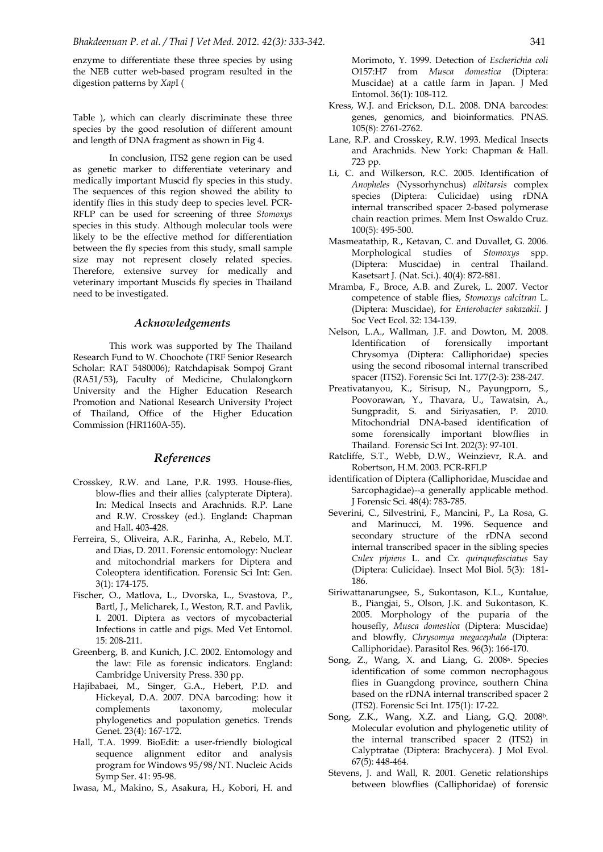enzyme to differentiate these three species by using the NEB cutter web-based program resulted in the digestion patterns by *Xap*I (

Table ), which can clearly discriminate these three species by the good resolution of different amount and length of DNA fragment as shown in Fig 4.

 In conclusion, ITS2 gene region can be used as genetic marker to differentiate veterinary and medically important Muscid fly species in this study. The sequences of this region showed the ability to identify flies in this study deep to species level. PCR-RFLP can be used for screening of three *Stomoxys* species in this study. Although molecular tools were likely to be the effective method for differentiation between the fly species from this study, small sample size may not represent closely related species. Therefore, extensive survey for medically and veterinary important Muscids fly species in Thailand need to be investigated.

#### *Acknowledgements*

 This work was supported by The Thailand Research Fund to W. Choochote (TRF Senior Research Scholar: RAT 5480006); Ratchdapisak Sompoj Grant (RA51/53), Faculty of Medicine, Chulalongkorn University and the Higher Education Research Promotion and National Research University Project of Thailand, Office of the Higher Education Commission (HR1160A-55).

# *References*

- Crosskey, R.W. and Lane, P.R. 1993. House-flies, blow-flies and their allies (calypterate Diptera). In: Medical Insects and Arachnids. R.P. Lane and R.W. Crosskey (ed.). England**:** Chapman and Hall**.** 403-428.
- Ferreira, S., Oliveira, A.R., Farinha, A., Rebelo, M.T. and Dias, D. 2011. Forensic entomology: Nuclear and mitochondrial markers for Diptera and Coleoptera identification. Forensic Sci Int: Gen. 3(1): 174-175.
- Fischer, O., Matlova, L., Dvorska, L., Svastova, P., Bartl, J., Melicharek, I., Weston, R.T. and Pavlik, I. 2001. Diptera as vectors of mycobacterial Infections in cattle and pigs. Med Vet Entomol. 15: 208-211.
- Greenberg, B. and Kunich, J.C. 2002. Entomology and the law: File as forensic indicators. England: Cambridge University Press. 330 pp.
- Hajibabaei, M., Singer, G.A., Hebert, P.D. and Hickeyal, D.A. 2007. DNA barcoding: how it complements taxonomy, molecular phylogenetics and population genetics. Trends Genet. 23(4): 167-172.
- Hall, T.A. 1999. BioEdit: a user-friendly biological sequence alignment editor and analysis program for Windows 95/98/NT. Nucleic Acids Symp Ser. 41: 95-98.
- Iwasa, M., Makino, S., Asakura, H., Kobori, H. and

Morimoto, Y. 1999. Detection of *Escherichia coli* O157:H7 from *Musca domestica* (Diptera: Muscidae) at a cattle farm in Japan. J Med Entomol. 36(1): 108-112.

- Kress, W.J. and Erickson, D.L. 2008. DNA barcodes: genes, genomics, and bioinformatics. PNAS. 105(8): 2761-2762.
- Lane, R.P. and Crosskey, R.W. 1993. Medical Insects and Arachnids. New York: Chapman & Hall. 723 pp.
- Li, C. and Wilkerson, R.C. 2005. Identification of *Anopheles* (Nyssorhynchus) *albitarsis* complex species (Diptera: Culicidae) using rDNA internal transcribed spacer 2-based polymerase chain reaction primes. Mem Inst Oswaldo Cruz. 100(5): 495-500.
- Masmeatathip, R., Ketavan, C. and Duvallet, G. 2006. Morphological studies of *Stomoxys* spp. (Diptera: Muscidae) in central Thailand. Kasetsart J. (Nat. Sci.). 40(4): 872-881.
- Mramba, F., Broce, A.B. and Zurek, L. 2007. Vector competence of stable flies, *Stomoxys calcitran* L. (Diptera: Muscidae), for *Enterobacter sakazakii*. J Soc Vect Ecol. 32: 134-139.
- Nelson, L.A., Wallman, J.F. and Dowton, M. 2008. Identification of forensically important Chrysomya (Diptera: Calliphoridae) species using the second ribosomal internal transcribed spacer (ITS2). Forensic Sci Int. 177(2-3): 238-247.
- Preativatanyou, K., Sirisup, N., Payungporn, S., Poovorawan, Y., Thavara, U., Tawatsin, A., Sungpradit, S. and Siriyasatien, P. 2010. Mitochondrial DNA-based identification of some forensically important blowflies in Thailand*.* Forensic Sci Int. 202(3): 97-101.
- Ratcliffe, S.T., Webb, D.W., Weinzievr, R.A. and Robertson, H.M. 2003. PCR-RFLP
- identification of Diptera (Calliphoridae, Muscidae and Sarcophagidae)--a generally applicable method. J Forensic Sci. 48(4): 783-785.
- Severini, C., Silvestrini, F., Mancini, P., La Rosa, G. and Marinucci, M. 1996. Sequence and secondary structure of the rDNA second internal transcribed spacer in the sibling species *Culex pipiens* L. and *Cx. quinquefasciatus* Say (Diptera: Culicidae). Insect Mol Biol. 5(3): 181- 186.
- Siriwattanarungsee, S., Sukontason, K.L., Kuntalue, B., Piangjai, S., Olson, J.K. and Sukontason, K. 2005. Morphology of the puparia of the housefly, *Musca domestica* (Diptera: Muscidae) and blowfly, *Chrysomya megacephala* (Diptera: Calliphoridae). Parasitol Res. 96(3): 166-170.
- Song, Z., Wang, X. and Liang, G. 2008a. Species identification of some common necrophagous flies in Guangdong province, southern China based on the rDNA internal transcribed spacer 2 (ITS2). Forensic Sci Int. 175(1): 17-22.
- Song, Z.K., Wang, X.Z. and Liang, G.Q. 2008b. Molecular evolution and phylogenetic utility of the internal transcribed spacer 2 (ITS2) in Calyptratae (Diptera: Brachycera). J Mol Evol. 67(5): 448-464.
- Stevens, J. and Wall, R. 2001. Genetic relationships between blowflies (Calliphoridae) of forensic